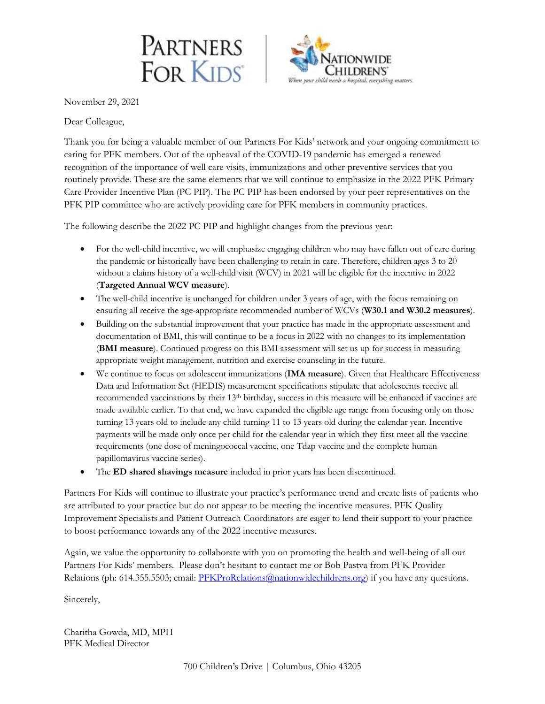



November 29, 2021

Dear Colleague,

Thank you for being a valuable member of our Partners For Kids' network and your ongoing commitment to caring for PFK members. Out of the upheaval of the COVID-19 pandemic has emerged a renewed recognition of the importance of well care visits, immunizations and other preventive services that you routinely provide. These are the same elements that we will continue to emphasize in the 2022 PFK Primary Care Provider Incentive Plan (PC PIP). The PC PIP has been endorsed by your peer representatives on the PFK PIP committee who are actively providing care for PFK members in community practices.

The following describe the 2022 PC PIP and highlight changes from the previous year:

- For the well-child incentive, we will emphasize engaging children who may have fallen out of care during the pandemic or historically have been challenging to retain in care. Therefore, children ages 3 to 20 without a claims history of a well-child visit (WCV) in 2021 will be eligible for the incentive in 2022 (**Targeted Annual WCV measure**).
- The well-child incentive is unchanged for children under 3 years of age, with the focus remaining on ensuring all receive the age-appropriate recommended number of WCVs (**W30.1 and W30.2 measures**).
- Building on the substantial improvement that your practice has made in the appropriate assessment and documentation of BMI, this will continue to be a focus in 2022 with no changes to its implementation (**BMI measure**). Continued progress on this BMI assessment will set us up for success in measuring appropriate weight management, nutrition and exercise counseling in the future.
- We continue to focus on adolescent immunizations (**IMA measure**). Given that Healthcare Effectiveness Data and Information Set (HEDIS) measurement specifications stipulate that adolescents receive all recommended vaccinations by their 13th birthday, success in this measure will be enhanced if vaccines are made available earlier. To that end, we have expanded the eligible age range from focusing only on those turning 13 years old to include any child turning 11 to 13 years old during the calendar year. Incentive payments will be made only once per child for the calendar year in which they first meet all the vaccine requirements (one dose of meningococcal vaccine, one Tdap vaccine and the complete human papillomavirus vaccine series).
- The **ED** shared shavings measure included in prior years has been discontinued.

Partners For Kids will continue to illustrate your practice's performance trend and create lists of patients who are attributed to your practice but do not appear to be meeting the incentive measures. PFK Quality Improvement Specialists and Patient Outreach Coordinators are eager to lend their support to your practice to boost performance towards any of the 2022 incentive measures.

Again, we value the opportunity to collaborate with you on promoting the health and well-being of all our Partners For Kids' members. Please don't hesitant to contact me or Bob Pastva from PFK Provider Relations (ph: 614.355.5503; email: [PFKProRelations@nationwidechildrens.org\)](mailto:PFKProRelations@nationwidechildrens.org) if you have any questions.

Sincerely,

Charitha Gowda, MD, MPH PFK Medical Director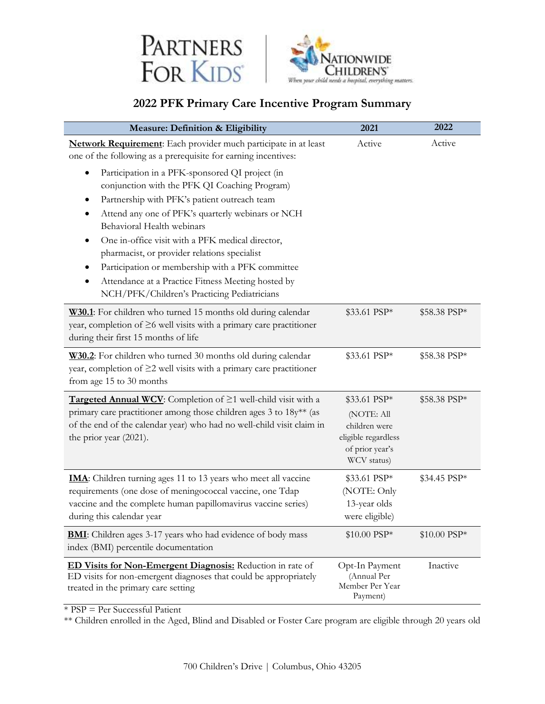



# **2022 PFK Primary Care Incentive Program Summary**

| Measure: Definition & Eligibility                                                                                                                                                                                                 | 2021                                                                                 | 2022         |
|-----------------------------------------------------------------------------------------------------------------------------------------------------------------------------------------------------------------------------------|--------------------------------------------------------------------------------------|--------------|
| Network Requirement: Each provider much participate in at least<br>one of the following as a prerequisite for earning incentives:                                                                                                 | Active                                                                               | Active       |
| Participation in a PFK-sponsored QI project (in<br>٠<br>conjunction with the PFK QI Coaching Program)                                                                                                                             |                                                                                      |              |
| Partnership with PFK's patient outreach team<br>٠                                                                                                                                                                                 |                                                                                      |              |
| Attend any one of PFK's quarterly webinars or NCH<br>Behavioral Health webinars                                                                                                                                                   |                                                                                      |              |
| One in-office visit with a PFK medical director,<br>٠<br>pharmacist, or provider relations specialist                                                                                                                             |                                                                                      |              |
| Participation or membership with a PFK committee                                                                                                                                                                                  |                                                                                      |              |
| Attendance at a Practice Fitness Meeting hosted by<br>NCH/PFK/Children's Practicing Pediatricians                                                                                                                                 |                                                                                      |              |
| W30.1: For children who turned 15 months old during calendar<br>year, completion of $\geq$ 6 well visits with a primary care practitioner<br>during their first 15 months of life                                                 | \$33.61 PSP*                                                                         | \$58.38 PSP* |
| W30.2: For children who turned 30 months old during calendar<br>year, completion of $\geq$ 2 well visits with a primary care practitioner<br>from age 15 to 30 months                                                             | \$33.61 PSP*                                                                         | \$58.38 PSP* |
| Targeted Annual WCV: Completion of ≥1 well-child visit with a                                                                                                                                                                     | \$33.61 PSP*                                                                         | \$58.38 PSP* |
| primary care practitioner among those children ages 3 to 18y** (as<br>of the end of the calendar year) who had no well-child visit claim in<br>the prior year (2021).                                                             | (NOTE: All<br>children were<br>eligible regardless<br>of prior year's<br>WCV status) |              |
| <b>IMA</b> : Children turning ages 11 to 13 years who meet all vaccine<br>requirements (one dose of meningococcal vaccine, one Tdap<br>vaccine and the complete human papillomavirus vaccine series)<br>during this calendar year | \$33.61 PSP*<br>(NOTE: Only<br>13-year olds<br>were eligible)                        | \$34.45 PSP* |
| <b>BMI:</b> Children ages 3-17 years who had evidence of body mass<br>index (BMI) percentile documentation                                                                                                                        | \$10.00 PSP*                                                                         | \$10.00 PSP* |
| ED Visits for Non-Emergent Diagnosis: Reduction in rate of<br>ED visits for non-emergent diagnoses that could be appropriately<br>treated in the primary care setting                                                             | Opt-In Payment<br>(Annual Per<br>Member Per Year<br>Payment)                         | Inactive     |

 $*$  PSP = Per Successful Patient

\*\* Children enrolled in the Aged, Blind and Disabled or Foster Care program are eligible through 20 years old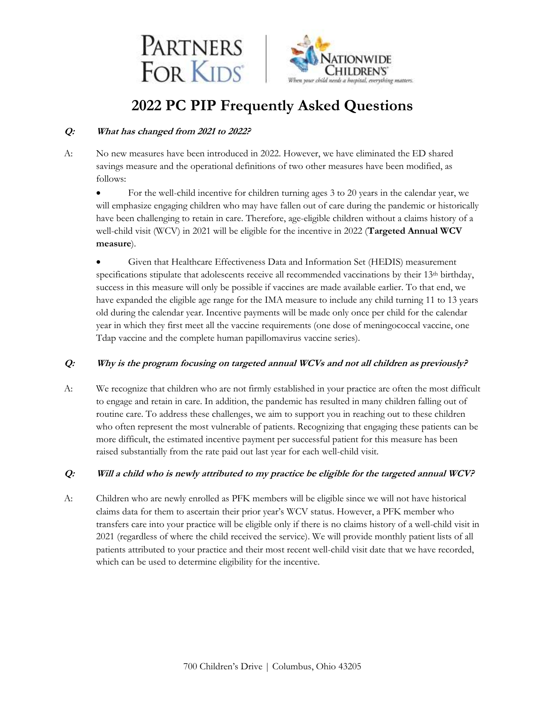



# **2022 PC PIP Frequently Asked Questions**

#### **Q: What has changed from 2021 to 2022?**

A: No new measures have been introduced in 2022. However, we have eliminated the ED shared savings measure and the operational definitions of two other measures have been modified, as follows:

• For the well-child incentive for children turning ages 3 to 20 years in the calendar year, we will emphasize engaging children who may have fallen out of care during the pandemic or historically have been challenging to retain in care. Therefore, age-eligible children without a claims history of a well-child visit (WCV) in 2021 will be eligible for the incentive in 2022 (**Targeted Annual WCV measure**).

• Given that Healthcare Effectiveness Data and Information Set (HEDIS) measurement specifications stipulate that adolescents receive all recommended vaccinations by their 13<sup>th</sup> birthday, success in this measure will only be possible if vaccines are made available earlier. To that end, we have expanded the eligible age range for the IMA measure to include any child turning 11 to 13 years old during the calendar year. Incentive payments will be made only once per child for the calendar year in which they first meet all the vaccine requirements (one dose of meningococcal vaccine, one Tdap vaccine and the complete human papillomavirus vaccine series).

## **Q: Why is the program focusing on targeted annual WCVs and not all children as previously?**

A: We recognize that children who are not firmly established in your practice are often the most difficult to engage and retain in care. In addition, the pandemic has resulted in many children falling out of routine care. To address these challenges, we aim to support you in reaching out to these children who often represent the most vulnerable of patients. Recognizing that engaging these patients can be more difficult, the estimated incentive payment per successful patient for this measure has been raised substantially from the rate paid out last year for each well-child visit.

#### **Q: Will a child who is newly attributed to my practice be eligible for the targeted annual WCV?**

A: Children who are newly enrolled as PFK members will be eligible since we will not have historical claims data for them to ascertain their prior year's WCV status. However, a PFK member who transfers care into your practice will be eligible only if there is no claims history of a well-child visit in 2021 (regardless of where the child received the service). We will provide monthly patient lists of all patients attributed to your practice and their most recent well-child visit date that we have recorded, which can be used to determine eligibility for the incentive.